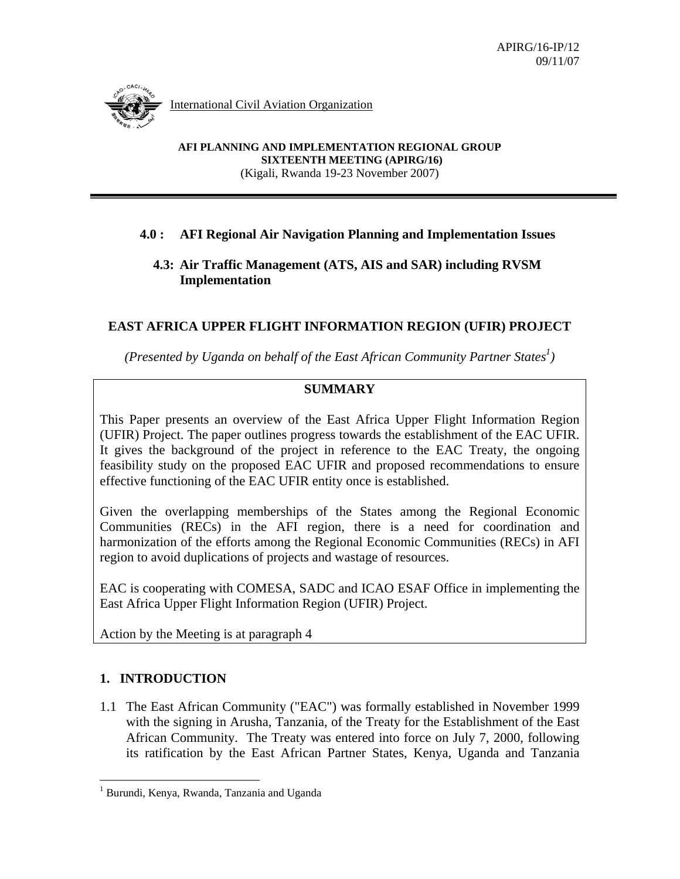International Civil Aviation Organization

**AFI PLANNING AND IMPLEMENTATION REGIONAL GROUP SIXTEENTH MEETING (APIRG/16)**  (Kigali, Rwanda 19-23 November 2007)

### **4.0 : AFI Regional Air Navigation Planning and Implementation Issues**

#### **4.3: Air Traffic Management (ATS, AIS and SAR) including RVSM Implementation**

# **EAST AFRICA UPPER FLIGHT INFORMATION REGION (UFIR) PROJECT**

*(Presented by Uganda on behalf of the East African Community Partner States<sup>1</sup>)* 

# **SUMMARY**

This Paper presents an overview of the East Africa Upper Flight Information Region (UFIR) Project. The paper outlines progress towards the establishment of the EAC UFIR. It gives the background of the project in reference to the EAC Treaty, the ongoing feasibility study on the proposed EAC UFIR and proposed recommendations to ensure effective functioning of the EAC UFIR entity once is established.

Given the overlapping memberships of the States among the Regional Economic Communities (RECs) in the AFI region, there is a need for coordination and harmonization of the efforts among the Regional Economic Communities (RECs) in AFI region to avoid duplications of projects and wastage of resources.

EAC is cooperating with COMESA, SADC and ICAO ESAF Office in implementing the East Africa Upper Flight Information Region (UFIR) Project.

Action by the Meeting is at paragraph 4

### **1. INTRODUCTION**

 $\overline{a}$ 

1.1 The East African Community ("EAC") was formally established in November 1999 with the signing in Arusha, Tanzania, of the Treaty for the Establishment of the East African Community. The Treaty was entered into force on July 7, 2000, following its ratification by the East African Partner States, Kenya, Uganda and Tanzania

<sup>&</sup>lt;sup>1</sup> Burundi, Kenya, Rwanda, Tanzania and Uganda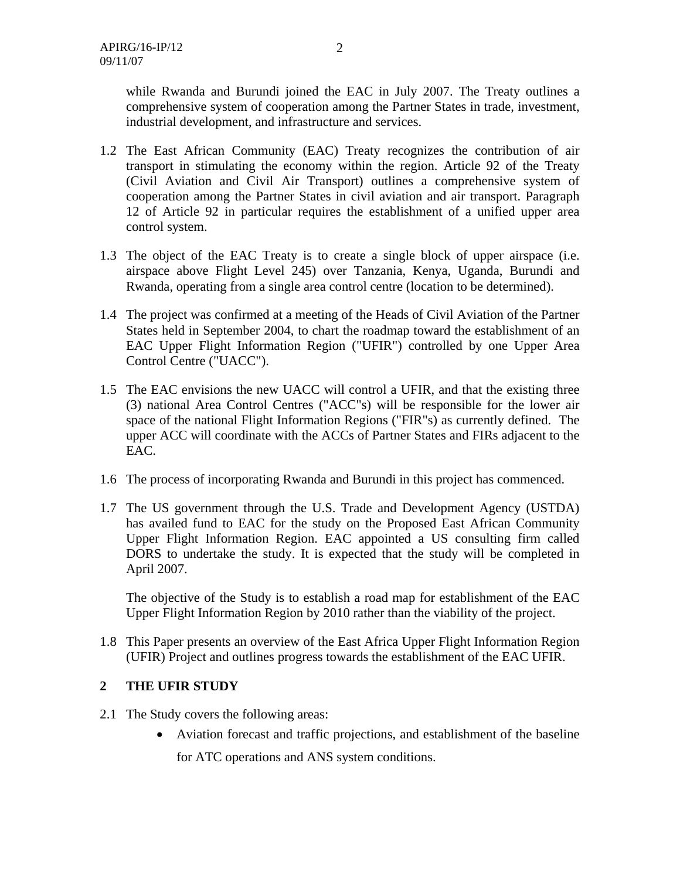while Rwanda and Burundi joined the EAC in July 2007. The Treaty outlines a comprehensive system of cooperation among the Partner States in trade, investment, industrial development, and infrastructure and services.

- 1.2 The East African Community (EAC) Treaty recognizes the contribution of air transport in stimulating the economy within the region. Article 92 of the Treaty (Civil Aviation and Civil Air Transport) outlines a comprehensive system of cooperation among the Partner States in civil aviation and air transport. Paragraph 12 of Article 92 in particular requires the establishment of a unified upper area control system.
- 1.3 The object of the EAC Treaty is to create a single block of upper airspace (i.e. airspace above Flight Level 245) over Tanzania, Kenya, Uganda, Burundi and Rwanda, operating from a single area control centre (location to be determined).
- 1.4 The project was confirmed at a meeting of the Heads of Civil Aviation of the Partner States held in September 2004, to chart the roadmap toward the establishment of an EAC Upper Flight Information Region ("UFIR") controlled by one Upper Area Control Centre ("UACC").
- 1.5 The EAC envisions the new UACC will control a UFIR, and that the existing three (3) national Area Control Centres ("ACC"s) will be responsible for the lower air space of the national Flight Information Regions ("FIR"s) as currently defined. The upper ACC will coordinate with the ACCs of Partner States and FIRs adjacent to the EAC.
- 1.6 The process of incorporating Rwanda and Burundi in this project has commenced.
- 1.7 The US government through the U.S. Trade and Development Agency (USTDA) has availed fund to EAC for the study on the Proposed East African Community Upper Flight Information Region. EAC appointed a US consulting firm called DORS to undertake the study. It is expected that the study will be completed in April 2007.

The objective of the Study is to establish a road map for establishment of the EAC Upper Flight Information Region by 2010 rather than the viability of the project.

1.8 This Paper presents an overview of the East Africa Upper Flight Information Region (UFIR) Project and outlines progress towards the establishment of the EAC UFIR.

### **2 THE UFIR STUDY**

- 2.1 The Study covers the following areas:
	- Aviation forecast and traffic projections, and establishment of the baseline

for ATC operations and ANS system conditions.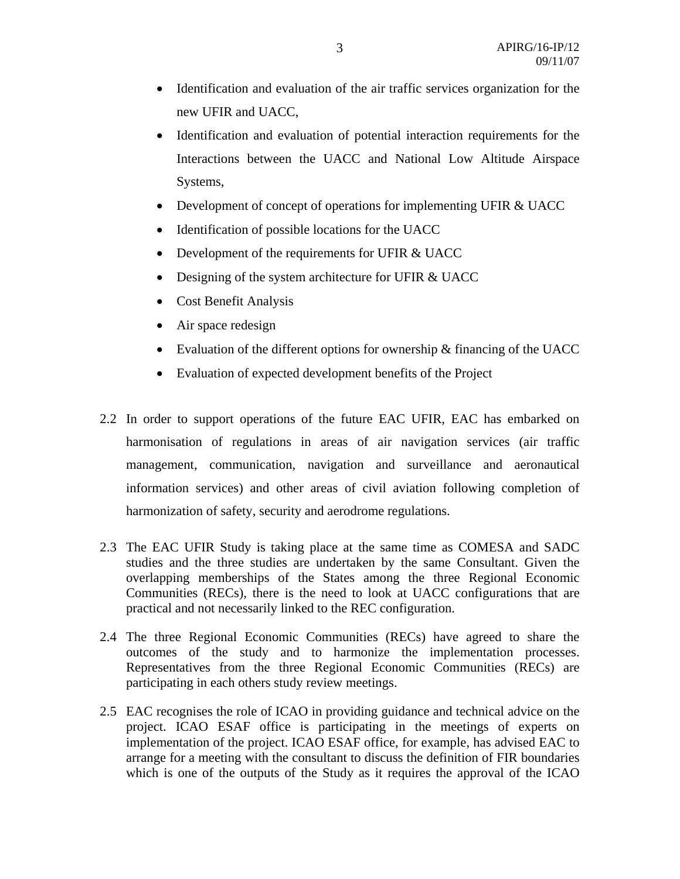- Identification and evaluation of the air traffic services organization for the new UFIR and UACC,
- Identification and evaluation of potential interaction requirements for the Interactions between the UACC and National Low Altitude Airspace Systems,
- Development of concept of operations for implementing UFIR & UACC
- Identification of possible locations for the UACC
- Development of the requirements for UFIR & UACC
- Designing of the system architecture for UFIR & UACC
- Cost Benefit Analysis
- Air space redesign
- Evaluation of the different options for ownership & financing of the UACC
- Evaluation of expected development benefits of the Project
- 2.2 In order to support operations of the future EAC UFIR, EAC has embarked on harmonisation of regulations in areas of air navigation services (air traffic management, communication, navigation and surveillance and aeronautical information services) and other areas of civil aviation following completion of harmonization of safety, security and aerodrome regulations.
- 2.3 The EAC UFIR Study is taking place at the same time as COMESA and SADC studies and the three studies are undertaken by the same Consultant. Given the overlapping memberships of the States among the three Regional Economic Communities (RECs), there is the need to look at UACC configurations that are practical and not necessarily linked to the REC configuration.
- 2.4 The three Regional Economic Communities (RECs) have agreed to share the outcomes of the study and to harmonize the implementation processes. Representatives from the three Regional Economic Communities (RECs) are participating in each others study review meetings.
- 2.5 EAC recognises the role of ICAO in providing guidance and technical advice on the project. ICAO ESAF office is participating in the meetings of experts on implementation of the project. ICAO ESAF office, for example, has advised EAC to arrange for a meeting with the consultant to discuss the definition of FIR boundaries which is one of the outputs of the Study as it requires the approval of the ICAO